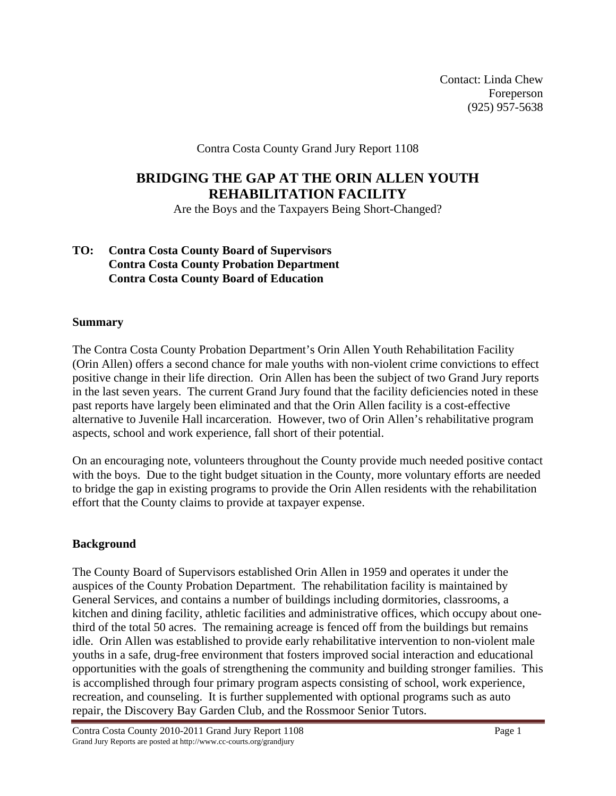Contact: Linda Chew Foreperson (925) 957-5638

Contra Costa County Grand Jury Report 1108

# **BRIDGING THE GAP AT THE ORIN ALLEN YOUTH REHABILITATION FACILITY**

Are the Boys and the Taxpayers Being Short-Changed?

## **TO: Contra Costa County Board of Supervisors Contra Costa County Probation Department Contra Costa County Board of Education**

### **Summary**

The Contra Costa County Probation Department's Orin Allen Youth Rehabilitation Facility (Orin Allen) offers a second chance for male youths with non-violent crime convictions to effect positive change in their life direction. Orin Allen has been the subject of two Grand Jury reports in the last seven years. The current Grand Jury found that the facility deficiencies noted in these past reports have largely been eliminated and that the Orin Allen facility is a cost-effective alternative to Juvenile Hall incarceration. However, two of Orin Allen's rehabilitative program aspects, school and work experience, fall short of their potential.

On an encouraging note, volunteers throughout the County provide much needed positive contact with the boys. Due to the tight budget situation in the County, more voluntary efforts are needed to bridge the gap in existing programs to provide the Orin Allen residents with the rehabilitation effort that the County claims to provide at taxpayer expense.

## **Background**

The County Board of Supervisors established Orin Allen in 1959 and operates it under the auspices of the County Probation Department. The rehabilitation facility is maintained by General Services, and contains a number of buildings including dormitories, classrooms, a kitchen and dining facility, athletic facilities and administrative offices, which occupy about onethird of the total 50 acres. The remaining acreage is fenced off from the buildings but remains idle. Orin Allen was established to provide early rehabilitative intervention to non-violent male youths in a safe, drug-free environment that fosters improved social interaction and educational opportunities with the goals of strengthening the community and building stronger families. This is accomplished through four primary program aspects consisting of school, work experience, recreation, and counseling. It is further supplemented with optional programs such as auto repair, the Discovery Bay Garden Club, and the Rossmoor Senior Tutors.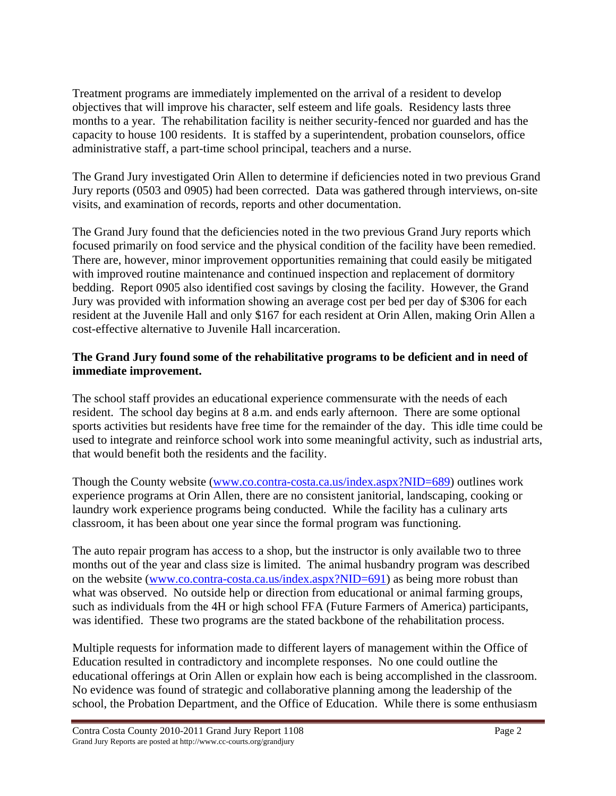Treatment programs are immediately implemented on the arrival of a resident to develop objectives that will improve his character, self esteem and life goals. Residency lasts three months to a year. The rehabilitation facility is neither security-fenced nor guarded and has the capacity to house 100 residents. It is staffed by a superintendent, probation counselors, office administrative staff, a part-time school principal, teachers and a nurse.

The Grand Jury investigated Orin Allen to determine if deficiencies noted in two previous Grand Jury reports (0503 and 0905) had been corrected. Data was gathered through interviews, on-site visits, and examination of records, reports and other documentation.

The Grand Jury found that the deficiencies noted in the two previous Grand Jury reports which focused primarily on food service and the physical condition of the facility have been remedied. There are, however, minor improvement opportunities remaining that could easily be mitigated with improved routine maintenance and continued inspection and replacement of dormitory bedding. Report 0905 also identified cost savings by closing the facility. However, the Grand Jury was provided with information showing an average cost per bed per day of \$306 for each resident at the Juvenile Hall and only \$167 for each resident at Orin Allen, making Orin Allen a cost-effective alternative to Juvenile Hall incarceration.

## **The Grand Jury found some of the rehabilitative programs to be deficient and in need of immediate improvement.**

The school staff provides an educational experience commensurate with the needs of each resident. The school day begins at 8 a.m. and ends early afternoon. There are some optional sports activities but residents have free time for the remainder of the day. This idle time could be used to integrate and reinforce school work into some meaningful activity, such as industrial arts, that would benefit both the residents and the facility.

Though the County website (www.co.contra-costa.ca.us/index.aspx?NID=689) outlines work experience programs at Orin Allen, there are no consistent janitorial, landscaping, cooking or laundry work experience programs being conducted. While the facility has a culinary arts classroom, it has been about one year since the formal program was functioning.

The auto repair program has access to a shop, but the instructor is only available two to three months out of the year and class size is limited. The animal husbandry program was described on the website (www.co.contra-costa.ca.us/index.aspx?NID=691) as being more robust than what was observed. No outside help or direction from educational or animal farming groups, such as individuals from the 4H or high school FFA (Future Farmers of America) participants, was identified. These two programs are the stated backbone of the rehabilitation process.

Multiple requests for information made to different layers of management within the Office of Education resulted in contradictory and incomplete responses. No one could outline the educational offerings at Orin Allen or explain how each is being accomplished in the classroom. No evidence was found of strategic and collaborative planning among the leadership of the school, the Probation Department, and the Office of Education. While there is some enthusiasm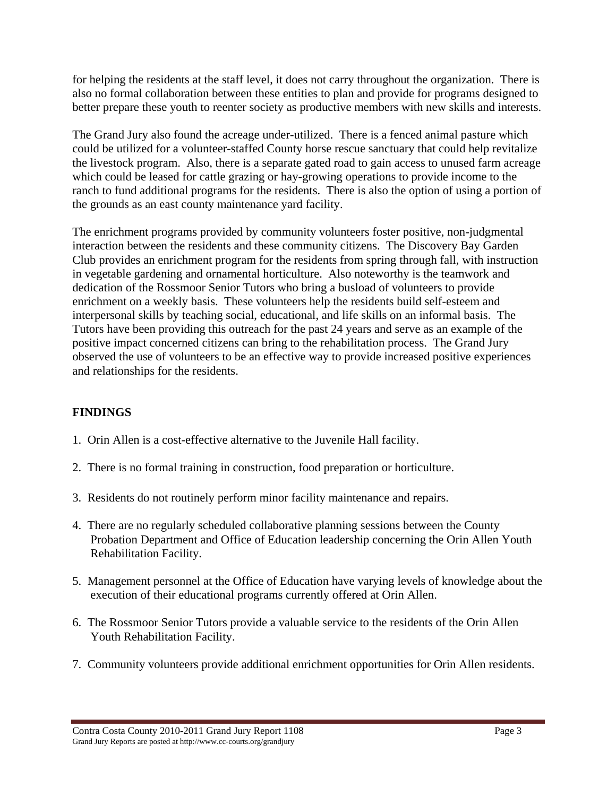for helping the residents at the staff level, it does not carry throughout the organization. There is also no formal collaboration between these entities to plan and provide for programs designed to better prepare these youth to reenter society as productive members with new skills and interests.

The Grand Jury also found the acreage under-utilized. There is a fenced animal pasture which could be utilized for a volunteer-staffed County horse rescue sanctuary that could help revitalize the livestock program. Also, there is a separate gated road to gain access to unused farm acreage which could be leased for cattle grazing or hay-growing operations to provide income to the ranch to fund additional programs for the residents. There is also the option of using a portion of the grounds as an east county maintenance yard facility.

The enrichment programs provided by community volunteers foster positive, non-judgmental interaction between the residents and these community citizens. The Discovery Bay Garden Club provides an enrichment program for the residents from spring through fall, with instruction in vegetable gardening and ornamental horticulture. Also noteworthy is the teamwork and dedication of the Rossmoor Senior Tutors who bring a busload of volunteers to provide enrichment on a weekly basis. These volunteers help the residents build self-esteem and interpersonal skills by teaching social, educational, and life skills on an informal basis. The Tutors have been providing this outreach for the past 24 years and serve as an example of the positive impact concerned citizens can bring to the rehabilitation process. The Grand Jury observed the use of volunteers to be an effective way to provide increased positive experiences and relationships for the residents.

## **FINDINGS**

- 1. Orin Allen is a cost-effective alternative to the Juvenile Hall facility.
- 2. There is no formal training in construction, food preparation or horticulture.
- 3. Residents do not routinely perform minor facility maintenance and repairs.
- 4. There are no regularly scheduled collaborative planning sessions between the County Probation Department and Office of Education leadership concerning the Orin Allen Youth Rehabilitation Facility.
- 5. Management personnel at the Office of Education have varying levels of knowledge about the execution of their educational programs currently offered at Orin Allen.
- 6. The Rossmoor Senior Tutors provide a valuable service to the residents of the Orin Allen Youth Rehabilitation Facility.
- 7. Community volunteers provide additional enrichment opportunities for Orin Allen residents.